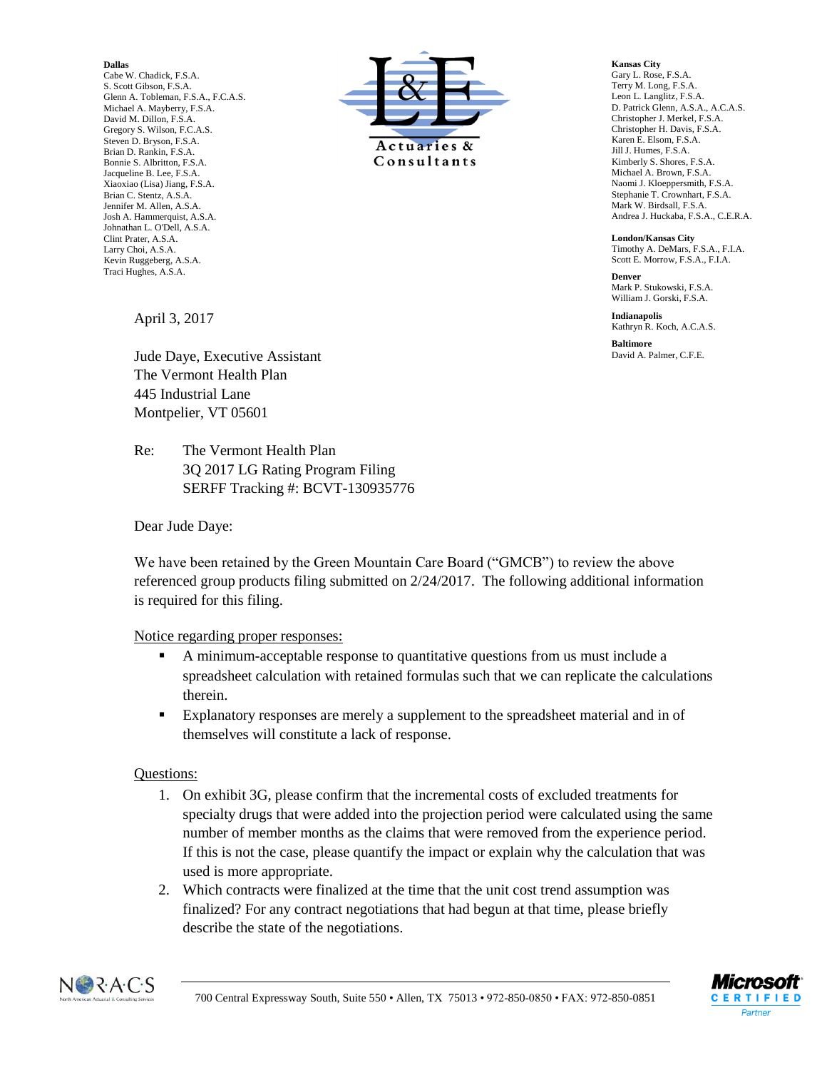**Dallas** Cabe W. Chadick, F.S.A. S. Scott Gibson, F.S.A. Glenn A. Tobleman, F.S.A., F.C.A.S. Michael A. Mayberry, F.S.A. David M. Dillon, F.S.A. Gregory S. Wilson, F.C.A.S. Steven D. Bryson, F.S.A. Brian D. Rankin, F.S.A. Bonnie S. Albritton, F.S.A. Jacqueline B. Lee, F.S.A. Xiaoxiao (Lisa) Jiang, F.S.A. Brian C. Stentz, A.S.A. Jennifer M. Allen, A.S.A. Josh A. Hammerquist, A.S.A. Johnathan L. O'Dell, A.S.A. Clint Prater, A.S.A. Larry Choi, A.S.A. Kevin Ruggeberg, A.S.A. Traci Hughes, A.S.A.



**Kansas City** Gary L. Rose, F.S.A. Terry M. Long, F.S.A. Leon L. Langlitz, F.S.A. D. Patrick Glenn, A.S.A., A.C.A.S. Christopher J. Merkel, F.S.A. Christopher H. Davis, F.S.A. Karen E. Elsom, F.S.A. Jill J. Humes, F.S.A. Kimberly S. Shores, F.S.A. Michael A. Brown, F.S.A. Naomi J. Kloeppersmith, F.S.A. Stephanie T. Crownhart, F.S.A. Mark W. Birdsall, F.S.A. Andrea J. Huckaba, F.S.A., C.E.R.A.

**London/Kansas City** Timothy A. DeMars, F.S.A., F.I.A. Scott E. Morrow, F.S.A., F.I.A.

**Denver** Mark P. Stukowski, F.S.A. William J. Gorski, F.S.A.

**Indianapolis** Kathryn R. Koch, A.C.A.S.

**Baltimore** David A. Palmer, C.F.E.

April 3, 2017

Jude Daye, Executive Assistant The Vermont Health Plan 445 Industrial Lane Montpelier, VT 05601

Re: The Vermont Health Plan 3Q 2017 LG Rating Program Filing SERFF Tracking #: BCVT-130935776

Dear Jude Daye:

We have been retained by the Green Mountain Care Board ("GMCB") to review the above referenced group products filing submitted on 2/24/2017. The following additional information is required for this filing.

## Notice regarding proper responses:

- A minimum-acceptable response to quantitative questions from us must include a spreadsheet calculation with retained formulas such that we can replicate the calculations therein.
- Explanatory responses are merely a supplement to the spreadsheet material and in of themselves will constitute a lack of response.

## Questions:

- 1. On exhibit 3G, please confirm that the incremental costs of excluded treatments for specialty drugs that were added into the projection period were calculated using the same number of member months as the claims that were removed from the experience period. If this is not the case, please quantify the impact or explain why the calculation that was used is more appropriate.
- 2. Which contracts were finalized at the time that the unit cost trend assumption was finalized? For any contract negotiations that had begun at that time, please briefly describe the state of the negotiations.